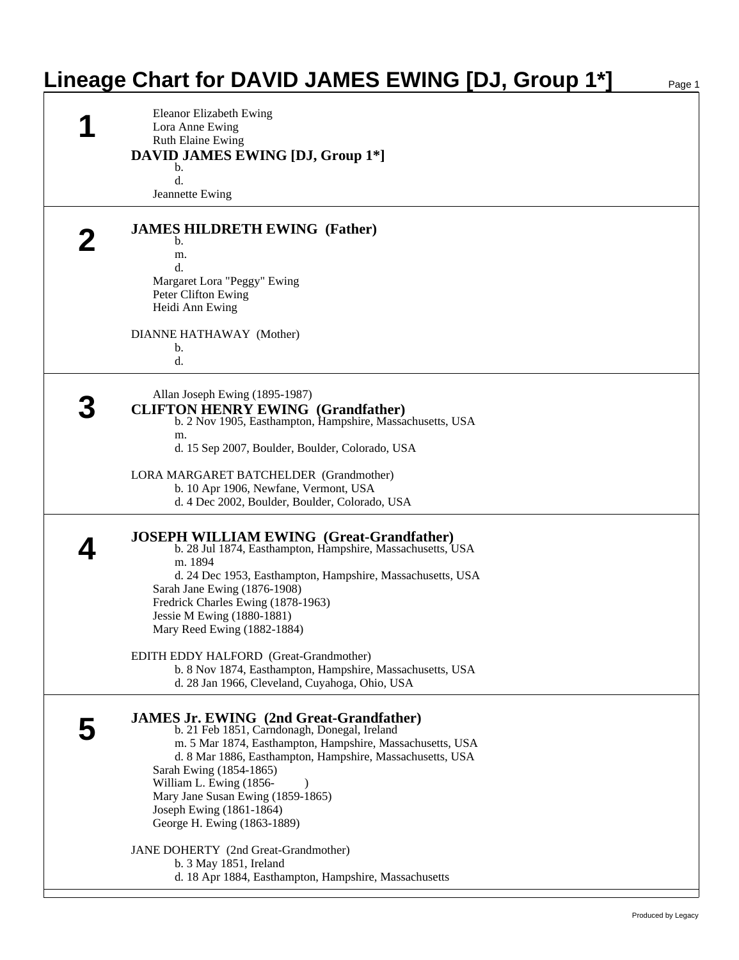| Lineage Chart for DAVID JAMES EWING [DJ, Group 1*]                                                                                                                                                                                                                                                                                                                             | Page 1 |
|--------------------------------------------------------------------------------------------------------------------------------------------------------------------------------------------------------------------------------------------------------------------------------------------------------------------------------------------------------------------------------|--------|
| Eleanor Elizabeth Ewing<br>Lora Anne Ewing<br><b>Ruth Elaine Ewing</b><br><b>DAVID JAMES EWING [DJ, Group 1*]</b><br>b.                                                                                                                                                                                                                                                        |        |
| d.<br>Jeannette Ewing                                                                                                                                                                                                                                                                                                                                                          |        |
| <b>JAMES HILDRETH EWING (Father)</b><br>b.                                                                                                                                                                                                                                                                                                                                     |        |
| m.<br>d.<br>Margaret Lora "Peggy" Ewing<br>Peter Clifton Ewing                                                                                                                                                                                                                                                                                                                 |        |
| Heidi Ann Ewing<br>DIANNE HATHAWAY (Mother)                                                                                                                                                                                                                                                                                                                                    |        |
| b.<br>d.                                                                                                                                                                                                                                                                                                                                                                       |        |
| Allan Joseph Ewing (1895-1987)<br><b>CLIFTON HENRY EWING (Grandfather)</b><br>b. 2 Nov 1905, Easthampton, Hampshire, Massachusetts, USA<br>m.<br>d. 15 Sep 2007, Boulder, Boulder, Colorado, USA                                                                                                                                                                               |        |
| LORA MARGARET BATCHELDER (Grandmother)<br>b. 10 Apr 1906, Newfane, Vermont, USA<br>d. 4 Dec 2002, Boulder, Boulder, Colorado, USA                                                                                                                                                                                                                                              |        |
| <b>JOSEPH WILLIAM EWING</b> (Great-Grandfather)<br>b. 28 Jul 1874, Easthampton, Hampshire, Massachusetts, USA<br>m. 1894<br>d. 24 Dec 1953, Easthampton, Hampshire, Massachusetts, USA<br>Sarah Jane Ewing (1876-1908)<br>Fredrick Charles Ewing (1878-1963)<br>Jessie M Ewing (1880-1881)<br>Mary Reed Ewing (1882-1884)                                                      |        |
| EDITH EDDY HALFORD (Great-Grandmother)<br>b. 8 Nov 1874, Easthampton, Hampshire, Massachusetts, USA<br>d. 28 Jan 1966, Cleveland, Cuyahoga, Ohio, USA                                                                                                                                                                                                                          |        |
| <b>JAMES Jr. EWING (2nd Great-Grandfather)</b><br>b. 21 Feb 1851, Carndonagh, Donegal, Ireland<br>m. 5 Mar 1874, Easthampton, Hampshire, Massachusetts, USA<br>d. 8 Mar 1886, Easthampton, Hampshire, Massachusetts, USA<br>Sarah Ewing (1854-1865)<br>William L. Ewing (1856-<br>Mary Jane Susan Ewing (1859-1865)<br>Joseph Ewing (1861-1864)<br>George H. Ewing (1863-1889) |        |
| JANE DOHERTY (2nd Great-Grandmother)<br>b. 3 May 1851, Ireland<br>d. 18 Apr 1884, Easthampton, Hampshire, Massachusetts                                                                                                                                                                                                                                                        |        |